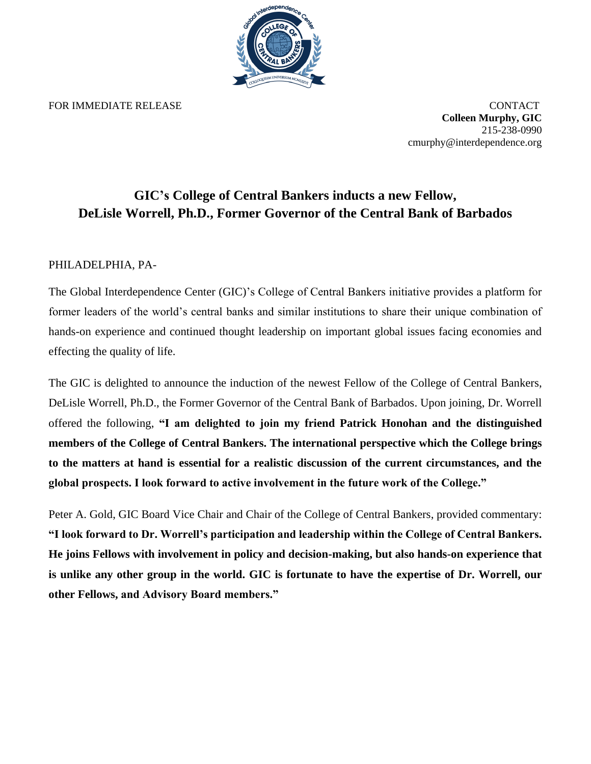

FOR IMMEDIATE RELEASE CONTACT

**Colleen Murphy, GIC** 215-238-0990 cmurphy@interdependence.org

## **GIC's College of Central Bankers inducts a new Fellow, DeLisle Worrell, Ph.D., Former Governor of the Central Bank of Barbados**

## PHILADELPHIA, PA-

The Global Interdependence Center (GIC)'s College of Central Bankers initiative provides a platform for former leaders of the world's central banks and similar institutions to share their unique combination of hands-on experience and continued thought leadership on important global issues facing economies and effecting the quality of life.

The GIC is delighted to announce the induction of the newest Fellow of the College of Central Bankers, DeLisle Worrell, Ph.D., the Former Governor of the Central Bank of Barbados. Upon joining, Dr. Worrell offered the following, **"I am delighted to join my friend Patrick Honohan and the distinguished members of the College of Central Bankers. The international perspective which the College brings to the matters at hand is essential for a realistic discussion of the current circumstances, and the global prospects. I look forward to active involvement in the future work of the College."**

Peter A. Gold, GIC Board Vice Chair and Chair of the College of Central Bankers, provided commentary: **"I look forward to Dr. Worrell's participation and leadership within the College of Central Bankers. He joins Fellows with involvement in policy and decision-making, but also hands-on experience that is unlike any other group in the world. GIC is fortunate to have the expertise of Dr. Worrell, our other Fellows, and Advisory Board members."**